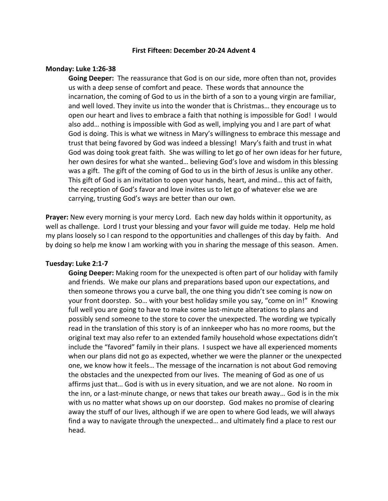## **First Fifteen: December 20-24 Advent 4**

#### **Monday: Luke 1:26-38**

**Going Deeper:** The reassurance that God is on our side, more often than not, provides us with a deep sense of comfort and peace. These words that announce the incarnation, the coming of God to us in the birth of a son to a young virgin are familiar, and well loved. They invite us into the wonder that is Christmas… they encourage us to open our heart and lives to embrace a faith that nothing is impossible for God! I would also add… nothing is impossible with God as well, implying you and I are part of what God is doing. This is what we witness in Mary's willingness to embrace this message and trust that being favored by God was indeed a blessing! Mary's faith and trust in what God was doing took great faith. She was willing to let go of her own ideas for her future, her own desires for what she wanted… believing God's love and wisdom in this blessing was a gift. The gift of the coming of God to us in the birth of Jesus is unlike any other. This gift of God is an invitation to open your hands, heart, and mind… this act of faith, the reception of God's favor and love invites us to let go of whatever else we are carrying, trusting God's ways are better than our own.

**Prayer:** New every morning is your mercy Lord. Each new day holds within it opportunity, as well as challenge. Lord I trust your blessing and your favor will guide me today. Help me hold my plans loosely so I can respond to the opportunities and challenges of this day by faith. And by doing so help me know I am working with you in sharing the message of this season. Amen.

## **Tuesday: Luke 2:1-7**

**Going Deeper:** Making room for the unexpected is often part of our holiday with family and friends. We make our plans and preparations based upon our expectations, and then someone throws you a curve ball, the one thing you didn't see coming is now on your front doorstep. So… with your best holiday smile you say, "come on in!" Knowing full well you are going to have to make some last-minute alterations to plans and possibly send someone to the store to cover the unexpected. The wording we typically read in the translation of this story is of an innkeeper who has no more rooms, but the original text may also refer to an extended family household whose expectations didn't include the "favored" family in their plans. I suspect we have all experienced moments when our plans did not go as expected, whether we were the planner or the unexpected one, we know how it feels… The message of the incarnation is not about God removing the obstacles and the unexpected from our lives. The meaning of God as one of us affirms just that… God is with us in every situation, and we are not alone. No room in the inn, or a last-minute change, or news that takes our breath away… God is in the mix with us no matter what shows up on our doorstep. God makes no promise of clearing away the stuff of our lives, although if we are open to where God leads, we will always find a way to navigate through the unexpected… and ultimately find a place to rest our head.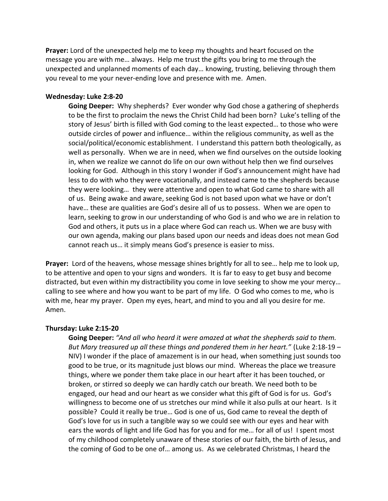**Prayer:** Lord of the unexpected help me to keep my thoughts and heart focused on the message you are with me… always. Help me trust the gifts you bring to me through the unexpected and unplanned moments of each day… knowing, trusting, believing through them you reveal to me your never-ending love and presence with me. Amen.

## **Wednesday: Luke 2:8-20**

**Going Deeper:** Why shepherds? Ever wonder why God chose a gathering of shepherds to be the first to proclaim the news the Christ Child had been born? Luke's telling of the story of Jesus' birth is filled with God coming to the least expected… to those who were outside circles of power and influence… within the religious community, as well as the social/political/economic establishment. I understand this pattern both theologically, as well as personally. When we are in need, when we find ourselves on the outside looking in, when we realize we cannot do life on our own without help then we find ourselves looking for God. Although in this story I wonder if God's announcement might have had less to do with who they were vocationally, and instead came to the shepherds because they were looking… they were attentive and open to what God came to share with all of us. Being awake and aware, seeking God is not based upon what we have or don't have… these are qualities are God's desire all of us to possess. When we are open to learn, seeking to grow in our understanding of who God is and who we are in relation to God and others, it puts us in a place where God can reach us. When we are busy with our own agenda, making our plans based upon our needs and ideas does not mean God cannot reach us… it simply means God's presence is easier to miss.

**Prayer:** Lord of the heavens, whose message shines brightly for all to see… help me to look up, to be attentive and open to your signs and wonders. It is far to easy to get busy and become distracted, but even within my distractibility you come in love seeking to show me your mercy… calling to see where and how you want to be part of my life. O God who comes to me, who is with me, hear my prayer. Open my eyes, heart, and mind to you and all you desire for me. Amen.

#### **Thursday: Luke 2:15-20**

**Going Deeper:** *"And all who heard it were amazed at what the shepherds said to them. But Mary treasured up all these things and pondered them in her heart."* (Luke 2:18-19 – NIV) I wonder if the place of amazement is in our head, when something just sounds too good to be true, or its magnitude just blows our mind. Whereas the place we treasure things, where we ponder them take place in our heart after it has been touched, or broken, or stirred so deeply we can hardly catch our breath. We need both to be engaged, our head and our heart as we consider what this gift of God is for us. God's willingness to become one of us stretches our mind while it also pulls at our heart. Is it possible? Could it really be true… God is one of us, God came to reveal the depth of God's love for us in such a tangible way so we could see with our eyes and hear with ears the words of light and life God has for you and for me… for all of us! I spent most of my childhood completely unaware of these stories of our faith, the birth of Jesus, and the coming of God to be one of… among us. As we celebrated Christmas, I heard the